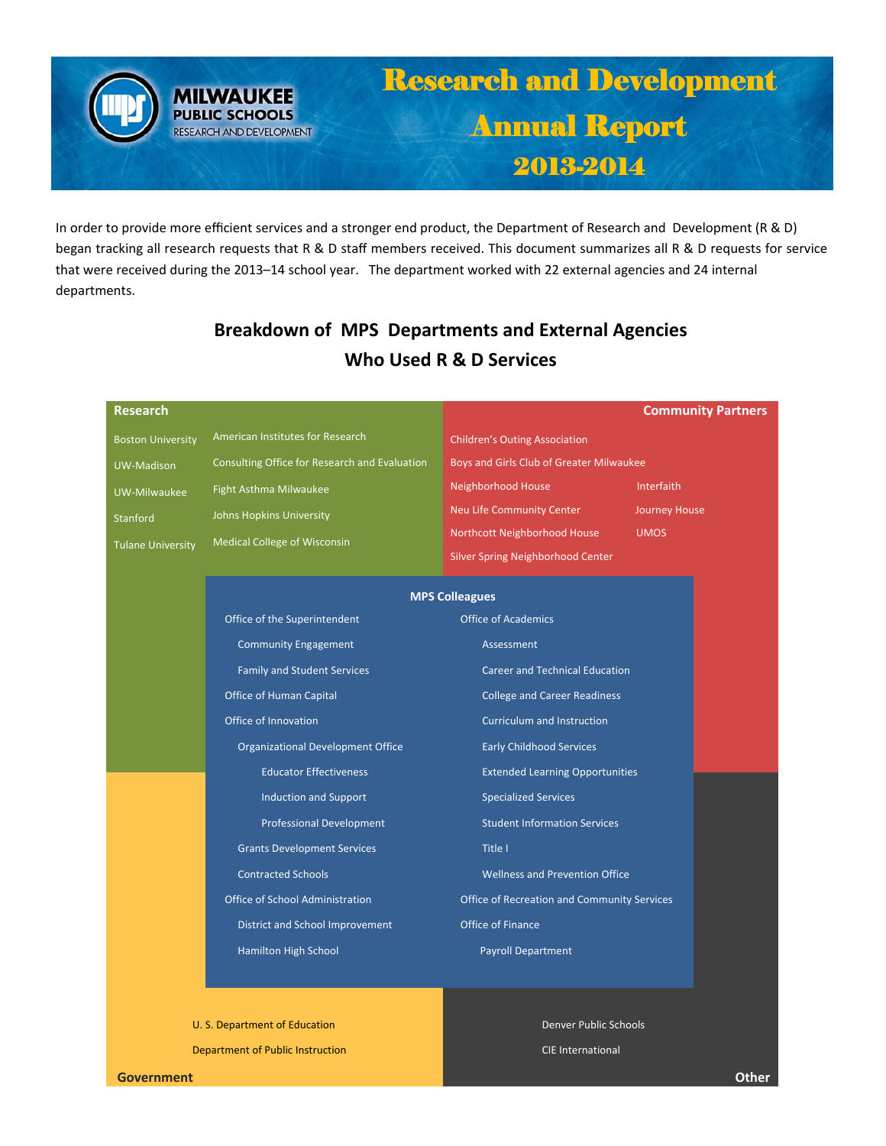# Research and Development Annual Report 2013-2014

In order to provide more efficient services and a stronger end product, the Department of Research and Development (R & D) began tracking all research requests that R & D staff members received. This document summarizes all R & D requests for service that were received during the 2013–14 school year. The department worked with 22 external agencies and 24 internal departments.

## **Breakdown of MPS Departments and External Agencies Who Used R & D Services**

| <b>Research</b>          |                                                                                |                                                                              | <b>Community Partners</b> |
|--------------------------|--------------------------------------------------------------------------------|------------------------------------------------------------------------------|---------------------------|
| <b>Boston University</b> | American Institutes for Research                                               | <b>Children's Outing Association</b>                                         |                           |
| <b>UW-Madison</b>        | Consulting Office for Research and Evaluation                                  | Boys and Girls Club of Greater Milwaukee                                     |                           |
| UW-Milwaukee             | Fight Asthma Milwaukee                                                         | Neighborhood House                                                           | Interfaith                |
| <b>Stanford</b>          | Johns Hopkins University                                                       | Neu Life Community Center                                                    | <b>Journey House</b>      |
| <b>Tulane University</b> | <b>Medical College of Wisconsin</b>                                            | Northcott Neighborhood House                                                 | <b>UMOS</b>               |
|                          |                                                                                | <b>Silver Spring Neighborhood Center</b>                                     |                           |
|                          | <b>MPS Colleagues</b>                                                          |                                                                              |                           |
|                          | Office of the Superintendent                                                   | <b>Office of Academics</b>                                                   |                           |
|                          | <b>Community Engagement</b>                                                    | Assessment                                                                   |                           |
|                          | <b>Family and Student Services</b>                                             | <b>Career and Technical Education</b><br><b>College and Career Readiness</b> |                           |
|                          | Office of Human Capital                                                        |                                                                              |                           |
|                          | Office of Innovation                                                           | <b>Curriculum and Instruction</b>                                            |                           |
|                          | Organizational Development Office                                              | <b>Early Childhood Services</b>                                              |                           |
|                          | <b>Educator Effectiveness</b>                                                  | <b>Extended Learning Opportunities</b>                                       |                           |
|                          | <b>Induction and Support</b>                                                   | <b>Specialized Services</b>                                                  |                           |
|                          | <b>Professional Development</b>                                                | <b>Student Information Services</b>                                          |                           |
|                          | <b>Grants Development Services</b>                                             | Title I                                                                      |                           |
|                          | <b>Contracted Schools</b>                                                      | <b>Wellness and Prevention Office</b>                                        |                           |
|                          | Office of School Administration<br>Office of Recreation and Community Services |                                                                              |                           |
|                          | District and School Improvement                                                | Office of Finance                                                            |                           |
|                          | Hamilton High School                                                           | Payroll Department                                                           |                           |
|                          |                                                                                |                                                                              |                           |
|                          |                                                                                |                                                                              |                           |

 U. S. Department of Education Department of Public Instruction

**MILWAUKEE PUBLIC SCHOOLS** RESEARCH AND DEVELOPMENT

> Denver Public Schools CIE International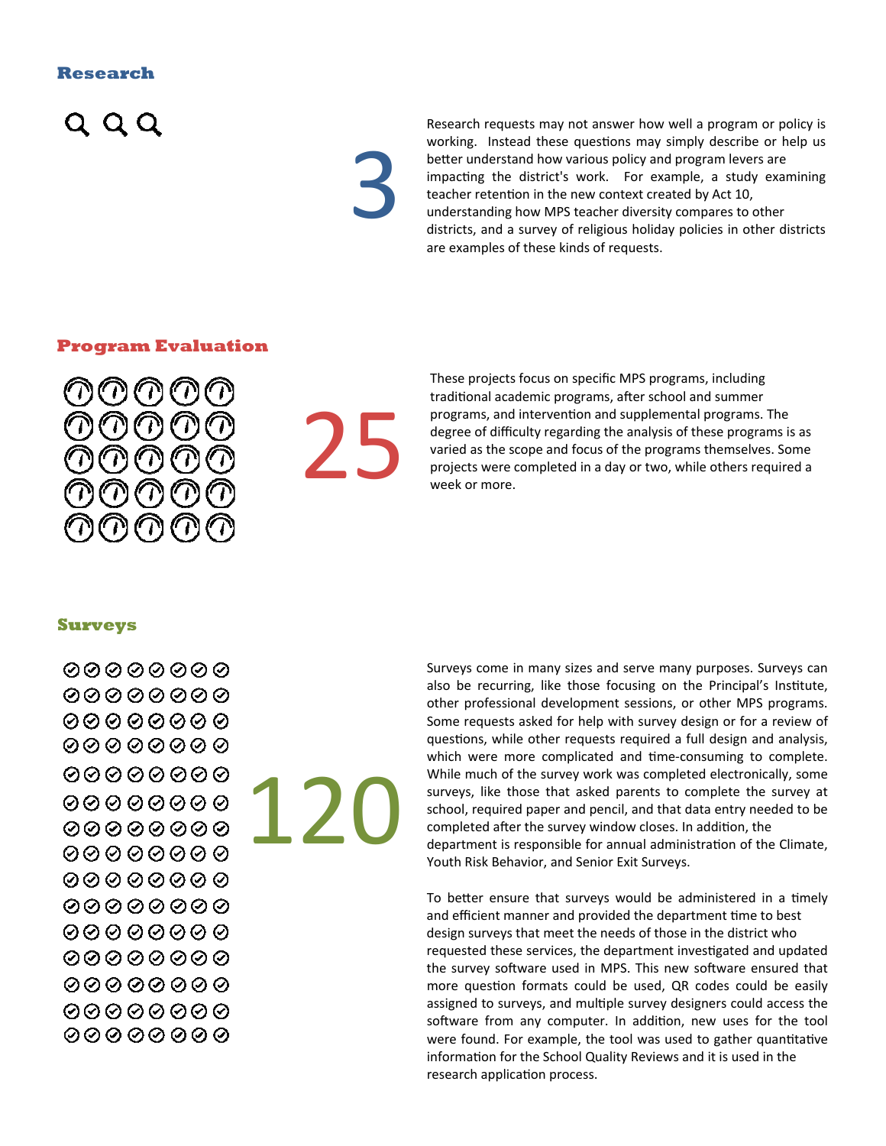#### **Research**



3

Research requests may not answer how well a program or policy is working. Instead these questions may simply describe or help us better understand how various policy and program levers are impacting the district's work. For example, a study examining teacher retention in the new context created by Act 10, understanding how MPS teacher diversity compares to other districts, and a survey of religious holiday policies in other districts are examples of these kinds of requests.

#### **Program Evaluation**



 $2<sub>5</sub>$ 

These projects focus on specific MPS programs, including traditional academic programs, after school and summer programs, and intervention and supplemental programs. The degree of difficulty regarding the analysis of these programs is as varied as the scope and focus of the programs themselves. Some projects were completed in a day or two, while others required a week or more.

#### **Surveys**

120

Surveys come in many sizes and serve many purposes. Surveys can also be recurring, like those focusing on the Principal's Institute, other professional development sessions, or other MPS programs. Some requests asked for help with survey design or for a review of questions, while other requests required a full design and analysis, which were more complicated and time-consuming to complete. While much of the survey work was completed electronically, some surveys, like those that asked parents to complete the survey at school, required paper and pencil, and that data entry needed to be completed after the survey window closes. In addition, the department is responsible for annual administration of the Climate, Youth Risk Behavior, and Senior Exit Surveys.

To better ensure that surveys would be administered in a timely and efficient manner and provided the department time to best design surveys that meet the needs of those in the district who requested these services, the department investigated and updated the survey software used in MPS. This new software ensured that more question formats could be used, QR codes could be easily assigned to surveys, and multiple survey designers could access the software from any computer. In addition, new uses for the tool were found. For example, the tool was used to gather quantitative information for the School Quality Reviews and it is used in the research application process.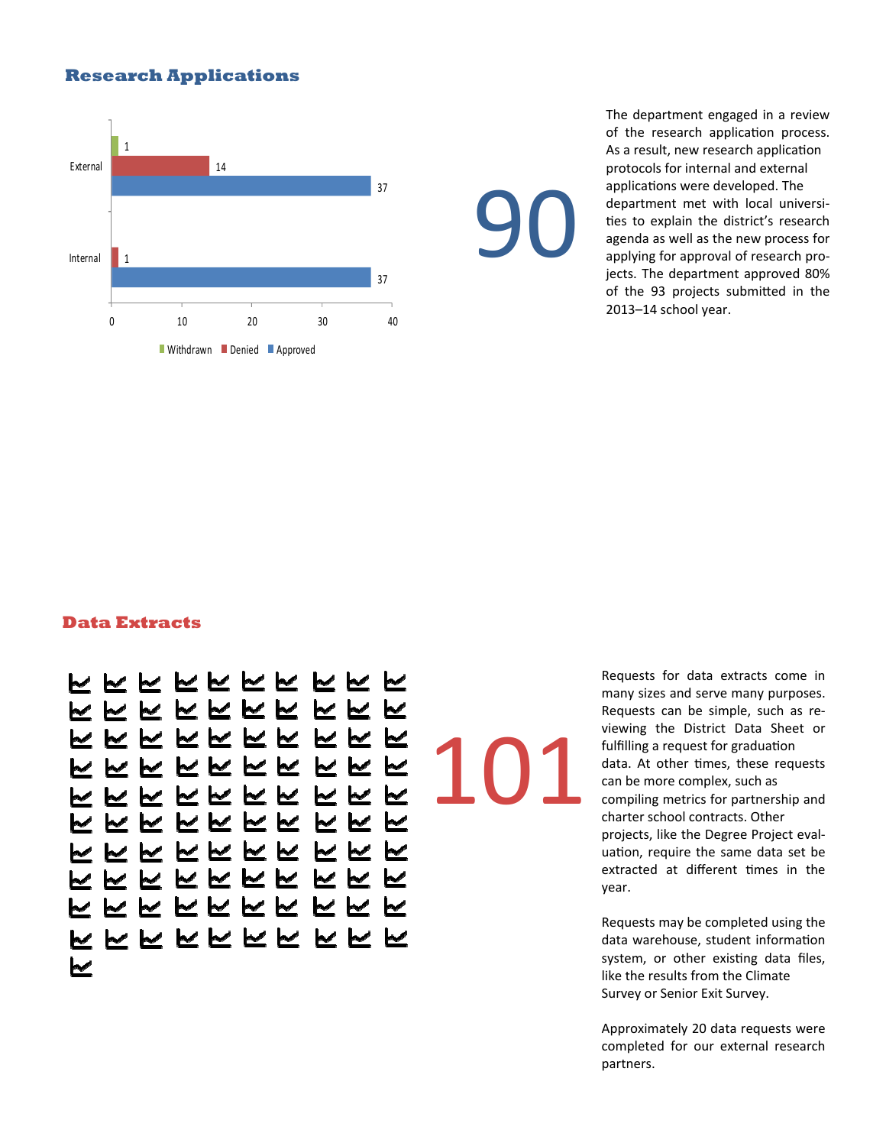#### **Research Applications**



The department engaged in a review of the research application process. As a result, new research application protocols for internal and external applications were developed. The department met with local universi‐ ties to explain the district's research agenda as well as the new process for applying for approval of research pro‐ jects. The department approved 80% of the 93 projects submitted in the 2013–14 school year.

#### **Data Extracts**

にててにててててて <u>K K K K K K K K </u> KKKKKKK KK K にててててて ⊵  $\sim$   $\sim$  $\sim$   $\sim$   $\sim$ <u>K K K K K K K</u> <u>WWWWWW</u> ◛  $\overline{\mathscr{L}}$ ⊵ <u>W W W W W W</u> <u>MMM</u> <u>にてててててててて</u> ててててててててて <u>ててててててててて</u>

101

90

Requests for data extracts come in many sizes and serve many purposes. Requests can be simple, such as re‐ viewing the District Data Sheet or fulfilling a request for graduation data. At other times, these requests can be more complex, such as compiling metrics for partnership and charter school contracts. Other projects, like the Degree Project eval‐ uation, require the same data set be extracted at different times in the year.

Requests may be completed using the data warehouse, student information system, or other existing data files, like the results from the Climate Survey or Senior Exit Survey.

Approximately 20 data requests were completed for our external research partners.